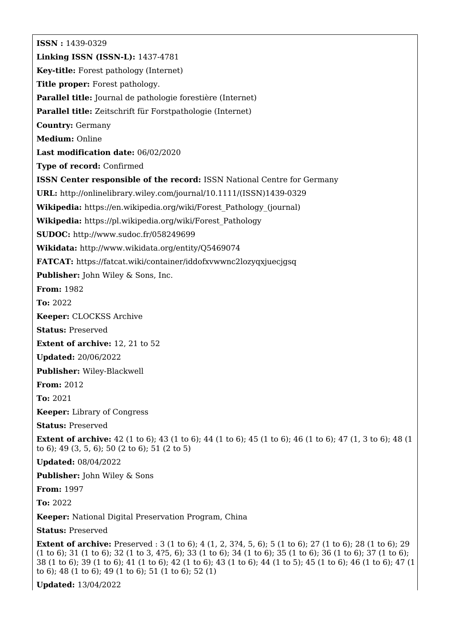**ISSN :** 1439-0329 **Linking ISSN (ISSN-L):** 1437-4781 **Key-title:** Forest pathology (Internet) **Title proper:** Forest pathology. **Parallel title:** Journal de pathologie forestière (Internet) **Parallel title:** Zeitschrift für Forstpathologie (Internet) **Country:** Germany **Medium:** Online **Last modification date:** 06/02/2020 **Type of record:** Confirmed **ISSN Center responsible of the record:** ISSN National Centre for Germany **URL:** [http://onlinelibrary.wiley.com/journal/10.1111/\(ISSN\)1439-0329](http://onlinelibrary.wiley.com/journal/10.1111/(ISSN)1439-0329) **Wikipedia:** [https://en.wikipedia.org/wiki/Forest\\_Pathology\\_\(journal\)](https://en.wikipedia.org/wiki/Forest_Pathology_(journal)) **Wikipedia:** [https://pl.wikipedia.org/wiki/Forest\\_Pathology](https://pl.wikipedia.org/wiki/Forest_Pathology) **SUDOC:** <http://www.sudoc.fr/058249699> **Wikidata:** <http://www.wikidata.org/entity/Q5469074> **FATCAT:** <https://fatcat.wiki/container/iddofxvwwnc2lozyqxjuecjgsq> **Publisher:** John Wiley & Sons, Inc. **From:** 1982 **To:** 2022 **Keeper:** CLOCKSS Archive **Status:** Preserved **Extent of archive:** 12, 21 to 52 **Updated:** 20/06/2022 **Publisher:** Wiley-Blackwell **From:** 2012 **To:** 2021 **Keeper:** Library of Congress **Status:** Preserved **Extent of archive:** 42 (1 to 6); 43 (1 to 6); 44 (1 to 6); 45 (1 to 6); 46 (1 to 6); 47 (1, 3 to 6); 48 (1) to 6); 49 (3, 5, 6); 50 (2 to 6); 51 (2 to 5) **Updated:** 08/04/2022 **Publisher:** John Wiley & Sons **From:** 1997 **To:** 2022 **Keeper:** National Digital Preservation Program, China **Status:** Preserved **Extent of archive:** Preserved : 3 (1 to 6); 4 (1, 2, 3?4, 5, 6); 5 (1 to 6); 27 (1 to 6); 28 (1 to 6); 29 (1 to 6); 31 (1 to 6); 32 (1 to 3, 4?5, 6); 33 (1 to 6); 34 (1 to 6); 35 (1 to 6); 36 (1 to 6); 37 (1 to 6); 38 (1 to 6); 39 (1 to 6); 41 (1 to 6); 42 (1 to 6); 43 (1 to 6); 44 (1 to 5); 45 (1 to 6); 46 (1 to 6); 47 (1

**Updated:** 13/04/2022

to 6); 48 (1 to 6); 49 (1 to 6); 51 (1 to 6); 52 (1)